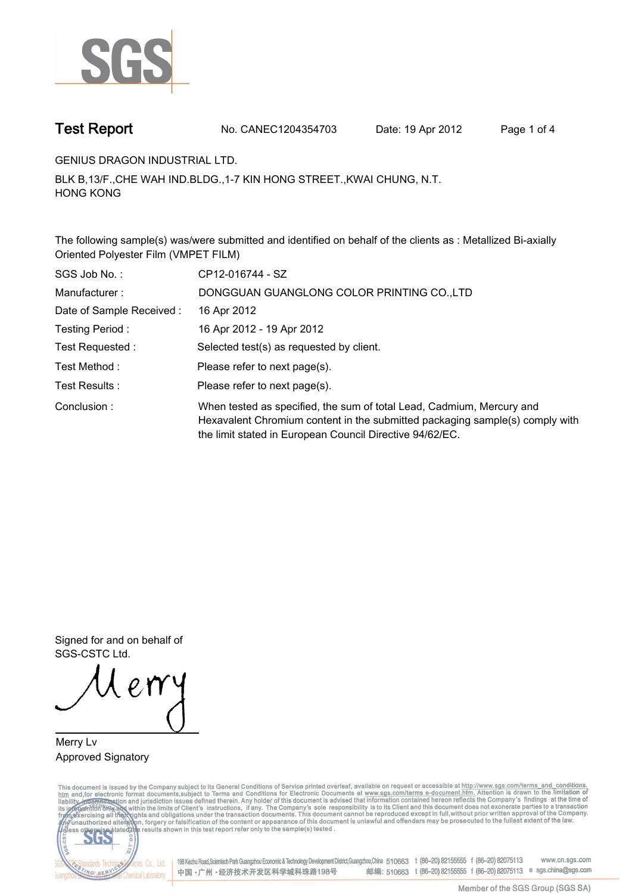

**Test Report. No. CANEC1204354703 Date: 19 Apr 2012. Page 1 of 4.**

**GENIUS DRAGON INDUSTRIAL LTD..**

**BLK B,13/F.,CHE WAH IND.BLDG.,1-7 KIN HONG STREET.,KWAI CHUNG, N.T. HONG KONG.**

**The following sample(s) was/were submitted and identified on behalf of the clients as : Metallized Bi-axially Oriented Polyester Film (VMPET FILM).**

| SGS Job No.:             | CP12-016744 - SZ                                                                                                                                                                                                  |
|--------------------------|-------------------------------------------------------------------------------------------------------------------------------------------------------------------------------------------------------------------|
| Manufacturer:            | DONGGUAN GUANGLONG COLOR PRINTING CO., LTD                                                                                                                                                                        |
| Date of Sample Received: | 16 Apr 2012                                                                                                                                                                                                       |
| Testing Period:          | 16 Apr 2012 - 19 Apr 2012                                                                                                                                                                                         |
| Test Requested :         | Selected test(s) as requested by client.                                                                                                                                                                          |
| Test Method:             | Please refer to next page(s).                                                                                                                                                                                     |
| Test Results:            | Please refer to next page(s).                                                                                                                                                                                     |
| Conclusion:              | When tested as specified, the sum of total Lead, Cadmium, Mercury and<br>Hexavalent Chromium content in the submitted packaging sample(s) comply with<br>the limit stated in European Council Directive 94/62/EC. |

**Signed for and on behalf of SGS-CSTC Ltd..**

**Merry Lv. Approved Signatory.**

This document is issued by the Company subject to its General Conditions of Service printed overleaf, available on request or accessible at http://www.sgs.com/terms\_and\_conditions.<br>htm\_and,for electronic format documents,s



198 Kezhu Road,Scientech Park Guangzhou Economic & Technology Development District,Guangzhou,China 510663 t (86-20) 82155555 f (86-20) 82075113 www.cn.sgs.com 邮编: 510663 t (86-20) 82155555 f (86-20) 82075113 e sgs.china@sgs.com 中国·广州·经济技术开发区科学城科珠路198号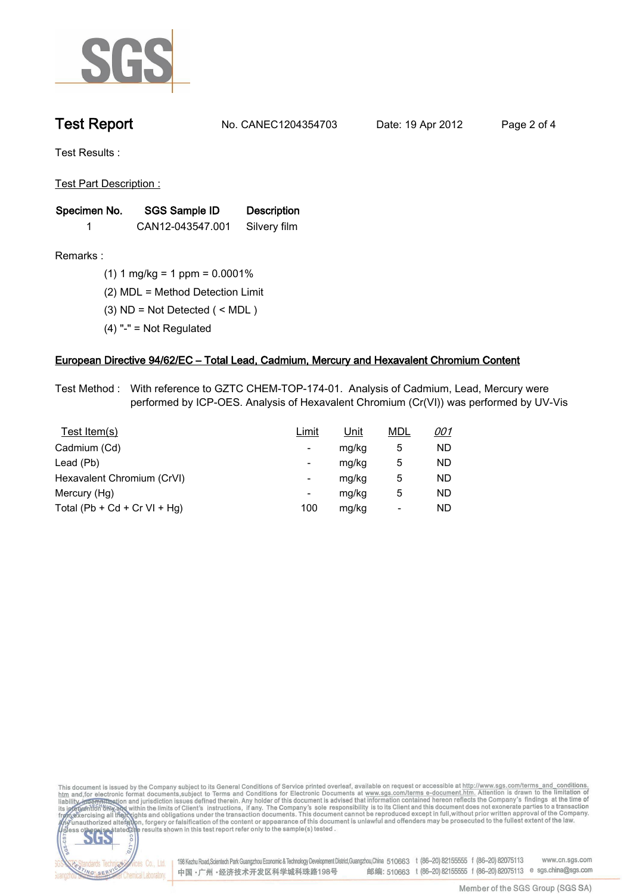

**Test Report. No. CANEC1204354703 Date: 19 Apr 2012. Page 2 of 4.**

**Test Results :.**

**Test Part Description :.**

| Specimen No. | SGS Sample ID    | <b>Description</b> |  |
|--------------|------------------|--------------------|--|
|              | CAN12-043547.001 | Silvery film       |  |

lards Teo

NG SERY

Chemical Laboratory.

**Remarks :.(1) 1 mg/kg = 1 ppm = 0.0001%.**

**(2) MDL = Method Detection Limit.**

- **(3) ND = Not Detected ( < MDL ).**
- **(4) "-" = Not Regulated.**

## **European Directive 94/62/EC – Total Lead, Cadmium, Mercury and Hexavalent Chromium Content.**

**Test Method :. With reference to GZTC CHEM-TOP-174-01. Analysis of Cadmium, Lead, Mercury were performed by ICP-OES. Analysis of Hexavalent Chromium (Cr(VI)) was performed by UV-Vis.**

| Test Item(s)                 | Limit                    | <u>Unit</u> | <b>MDL</b> | <u>001</u> |
|------------------------------|--------------------------|-------------|------------|------------|
| Cadmium (Cd)                 | ۰                        | mg/kg       | 5          | ND         |
| Lead (Pb)                    | ۰                        | mg/kg       | 5          | ND         |
| Hexavalent Chromium (CrVI)   | $\overline{\phantom{a}}$ | mg/kg       | 5          | ND         |
| Mercury (Hg)                 | ۰                        | mg/kg       | 5          | ND         |
| Total (Pb + Cd + Cr VI + Hg) | 100                      | mg/kg       |            | ND         |

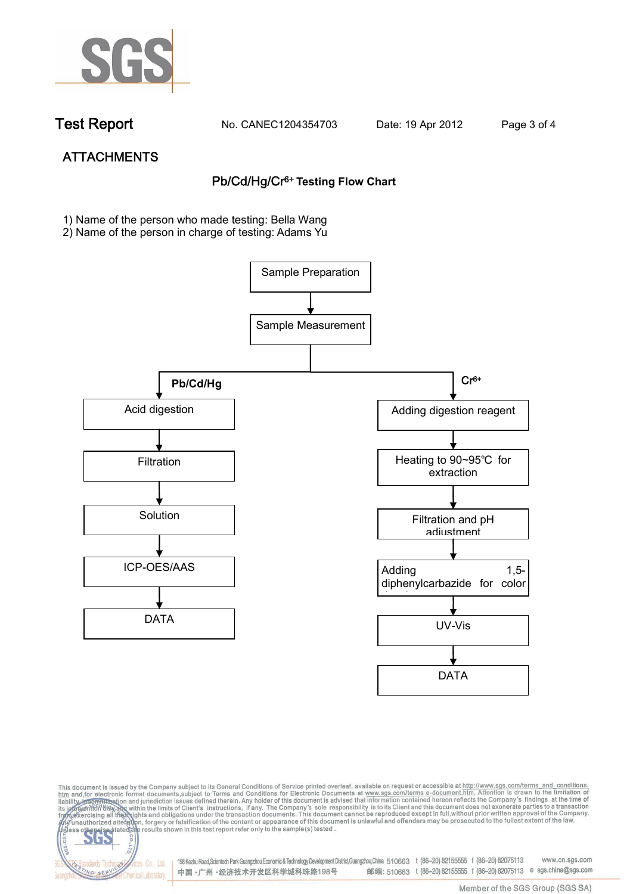

dards Ter

NG SER

**Chemical Laboratory** 

**Test Report. No. CANEC1204354703 Date: 19 Apr 2012. Page 3 of 4.**

# **ATTACHMENTS Pb/Cd/Hg/Cr6+ Testing Flow Chart**

**1)** Name of the person who made testing: Bella Wang

2) Name of the person in charge of testing: Adams Yu





198 Kezhu Road,Scientech Park Guangzhou Economic & Technology Development District,Guangzhou,China 510663 t (86-20) 82155555 f (86-20) 82075113 www.cn.sgs.com 邮编: 510663 t (86-20) 82155555 f (86-20) 82075113 e sgs.china@sgs.com 中国·广州·经济技术开发区科学城科珠路198号